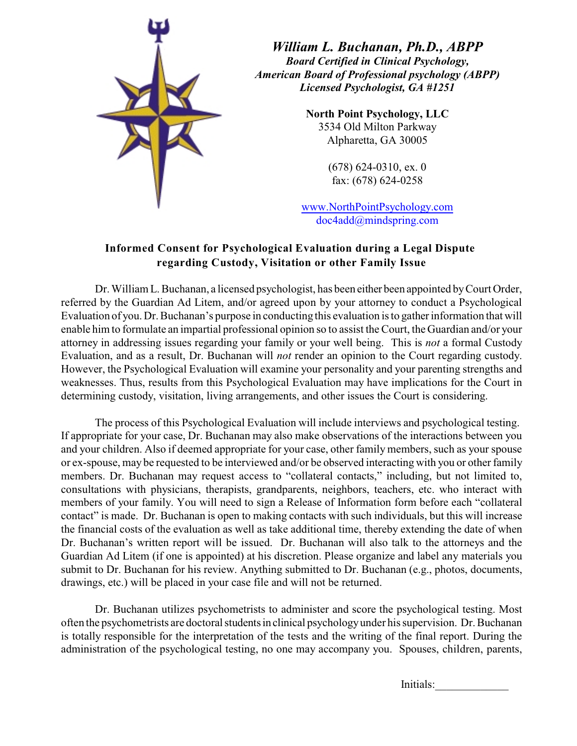

*William L. Buchanan, Ph.D., ABPP Board Certified in Clinical Psychology, American Board of Professional psychology (ABPP) Licensed Psychologist, GA #1251*

> **North Point Psychology, LLC** 3534 Old Milton Parkway Alpharetta, GA 30005

> > (678) 624-0310, ex. 0 fax: (678) 624-0258

www.NorthPointPsychology.com doc4add@mindspring.com

## **Informed Consent for Psychological Evaluation during a Legal Dispute regarding Custody, Visitation or other Family Issue**

Dr. William L. Buchanan, a licensed psychologist, has been either been appointed by Court Order, referred by the Guardian Ad Litem, and/or agreed upon by your attorney to conduct a Psychological Evaluation of you. Dr. Buchanan's purpose in conducting this evaluation is to gather information that will enable him to formulate an impartial professional opinion so to assist the Court, the Guardian and/or your attorney in addressing issues regarding your family or your well being. This is *not* a formal Custody Evaluation, and as a result, Dr. Buchanan will *not* render an opinion to the Court regarding custody. However, the Psychological Evaluation will examine your personality and your parenting strengths and weaknesses. Thus, results from this Psychological Evaluation may have implications for the Court in determining custody, visitation, living arrangements, and other issues the Court is considering.

The process of this Psychological Evaluation will include interviews and psychological testing. If appropriate for your case, Dr. Buchanan may also make observations of the interactions between you and your children. Also if deemed appropriate for your case, other family members, such as your spouse or ex-spouse, may be requested to be interviewed and/or be observed interacting with you or other family members. Dr. Buchanan may request access to "collateral contacts," including, but not limited to, consultations with physicians, therapists, grandparents, neighbors, teachers, etc. who interact with members of your family. You will need to sign a Release of Information form before each "collateral contact" is made. Dr. Buchanan is open to making contacts with such individuals, but this will increase the financial costs of the evaluation as well as take additional time, thereby extending the date of when Dr. Buchanan's written report will be issued. Dr. Buchanan will also talk to the attorneys and the Guardian Ad Litem (if one is appointed) at his discretion. Please organize and label any materials you submit to Dr. Buchanan for his review. Anything submitted to Dr. Buchanan (e.g., photos, documents, drawings, etc.) will be placed in your case file and will not be returned.

Dr. Buchanan utilizes psychometrists to administer and score the psychological testing. Most often the psychometrists are doctoral students in clinical psychology under his supervision. Dr. Buchanan is totally responsible for the interpretation of the tests and the writing of the final report. During the administration of the psychological testing, no one may accompany you. Spouses, children, parents,

Initials: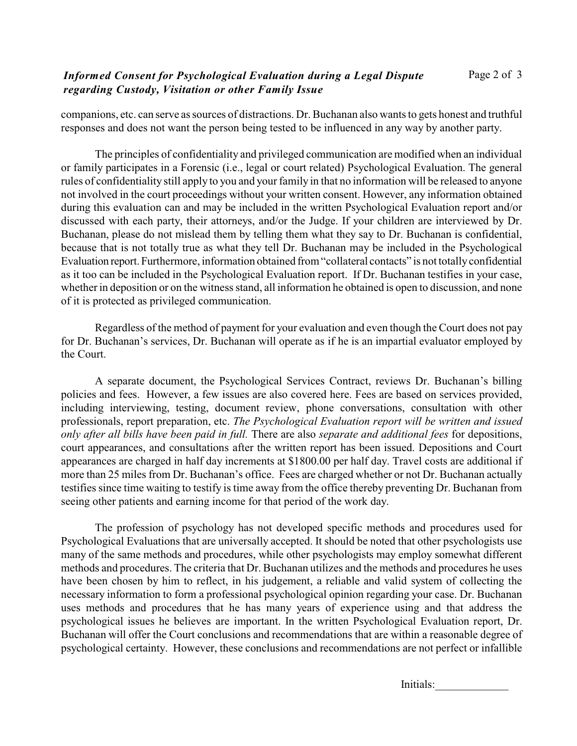## *Informed Consent for Psychological Evaluation during a Legal Dispute regarding Custody, Visitation or other Family Issue*

companions, etc. can serve as sources of distractions. Dr. Buchanan also wants to gets honest and truthful responses and does not want the person being tested to be influenced in any way by another party.

The principles of confidentiality and privileged communication are modified when an individual or family participates in a Forensic (i.e., legal or court related) Psychological Evaluation. The general rules of confidentiality still apply to you and your family in that no information will be released to anyone not involved in the court proceedings without your written consent. However, any information obtained during this evaluation can and may be included in the written Psychological Evaluation report and/or discussed with each party, their attorneys, and/or the Judge. If your children are interviewed by Dr. Buchanan, please do not mislead them by telling them what they say to Dr. Buchanan is confidential, because that is not totally true as what they tell Dr. Buchanan may be included in the Psychological Evaluation report. Furthermore, information obtained from "collateral contacts" is not totally confidential as it too can be included in the Psychological Evaluation report. If Dr. Buchanan testifies in your case, whether in deposition or on the witness stand, all information he obtained is open to discussion, and none of it is protected as privileged communication.

Regardless of the method of payment for your evaluation and even though the Court does not pay for Dr. Buchanan's services, Dr. Buchanan will operate as if he is an impartial evaluator employed by the Court.

A separate document, the Psychological Services Contract, reviews Dr. Buchanan's billing policies and fees. However, a few issues are also covered here. Fees are based on services provided, including interviewing, testing, document review, phone conversations, consultation with other professionals, report preparation, etc. *The Psychological Evaluation report will be written and issued only after all bills have been paid in full.* There are also *separate and additional fees* for depositions, court appearances, and consultations after the written report has been issued. Depositions and Court appearances are charged in half day increments at \$1800.00 per half day. Travel costs are additional if more than 25 miles from Dr. Buchanan's office. Fees are charged whether or not Dr. Buchanan actually testifies since time waiting to testify is time away from the office thereby preventing Dr. Buchanan from seeing other patients and earning income for that period of the work day.

The profession of psychology has not developed specific methods and procedures used for Psychological Evaluations that are universally accepted. It should be noted that other psychologists use many of the same methods and procedures, while other psychologists may employ somewhat different methods and procedures. The criteria that Dr. Buchanan utilizes and the methods and procedures he uses have been chosen by him to reflect, in his judgement, a reliable and valid system of collecting the necessary information to form a professional psychological opinion regarding your case. Dr. Buchanan uses methods and procedures that he has many years of experience using and that address the psychological issues he believes are important. In the written Psychological Evaluation report, Dr. Buchanan will offer the Court conclusions and recommendations that are within a reasonable degree of psychological certainty. However, these conclusions and recommendations are not perfect or infallible

Initials: